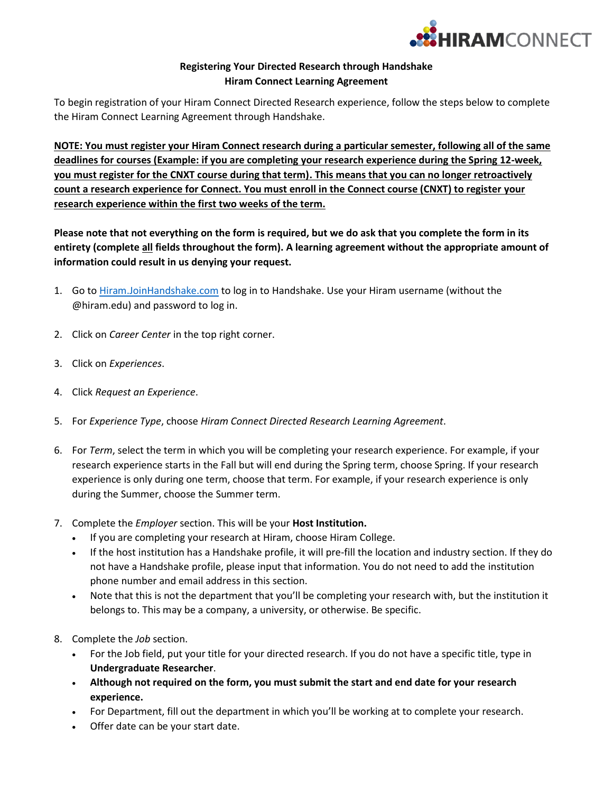

## **Registering Your Directed Research through Handshake Hiram Connect Learning Agreement**

To begin registration of your Hiram Connect Directed Research experience, follow the steps below to complete the Hiram Connect Learning Agreement through Handshake.

**NOTE: You must register your Hiram Connect research during a particular semester, following all of the same deadlines for courses (Example: if you are completing your research experience during the Spring 12-week, you must register for the CNXT course during that term). This means that you can no longer retroactively count a research experience for Connect. You must enroll in the Connect course (CNXT) to register your research experience within the first two weeks of the term.**

**Please note that not everything on the form is required, but we do ask that you complete the form in its entirety (complete all fields throughout the form). A learning agreement without the appropriate amount of information could result in us denying your request.** 

- 1. Go to [Hiram.JoinHandshake.com](https://hiram.joinhandshake.com/) to log in to Handshake. Use your Hiram username (without the @hiram.edu) and password to log in.
- 2. Click on *Career Center* in the top right corner.
- 3. Click on *Experiences*.
- 4. Click *Request an Experience*.
- 5. For *Experience Type*, choose *Hiram Connect Directed Research Learning Agreement*.
- 6. For *Term*, select the term in which you will be completing your research experience. For example, if your research experience starts in the Fall but will end during the Spring term, choose Spring. If your research experience is only during one term, choose that term. For example, if your research experience is only during the Summer, choose the Summer term.
- 7. Complete the *Employer* section. This will be your **Host Institution.**
	- If you are completing your research at Hiram, choose Hiram College.
	- If the host institution has a Handshake profile, it will pre-fill the location and industry section. If they do not have a Handshake profile, please input that information. You do not need to add the institution phone number and email address in this section.
	- Note that this is not the department that you'll be completing your research with, but the institution it belongs to. This may be a company, a university, or otherwise. Be specific.
- 8. Complete the *Job* section.
	- For the Job field, put your title for your directed research. If you do not have a specific title, type in **Undergraduate Researcher**.
	- **Although not required on the form, you must submit the start and end date for your research experience.**
	- For Department, fill out the department in which you'll be working at to complete your research.
	- Offer date can be your start date.